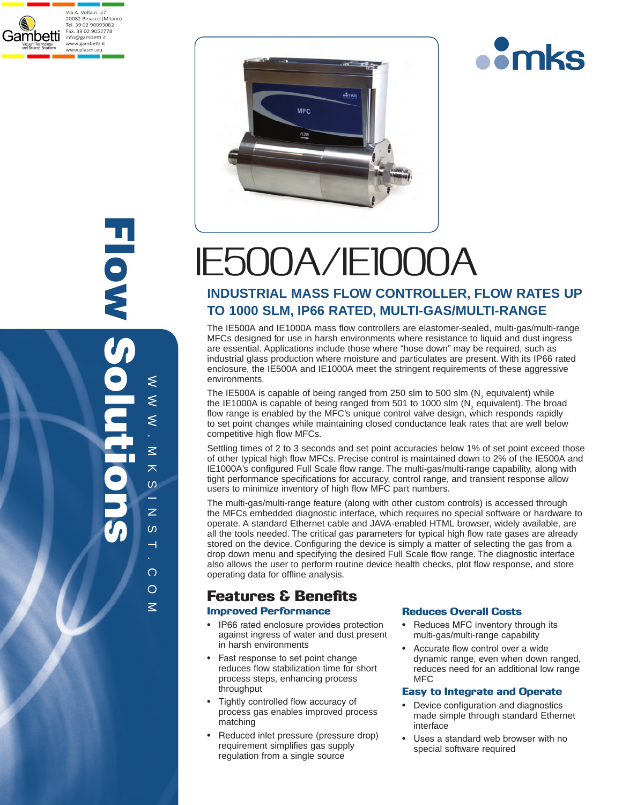

Flow Solutions HOSS N ≲  $\approx$   $\approx$  $\leq$  $\leq$ .  $\leq$ M K S I N S I  $\overline{\mathbf{X}}$  $\omega$ ÷.  $\overline{z}$  $\infty$  $\overline{\phantom{0}}$ . com



# IE500A/IE1000A

### **INDUSTRIAL MASS FLOW CONTROLLER, FLOW RATES UP TO 1000 SLM, IP66 RATED, MULTI-GAS/MULTI-RANGE**

The IE500A and IE1000A mass flow controllers are elastomer-sealed, multi-gas/multi-range MFCs designed for use in harsh environments where resistance to liquid and dust ingress are essential. Applications include those where "hose down" may be required, such as industrial glass production where moisture and particulates are present. With its IP66 rated enclosure, the IE500A and IE1000A meet the stringent requirements of these aggressive environments.

The IE500A is capable of being ranged from 250 slm to 500 slm  $(N_2)$  equivalent) while the IE1000A is capable of being ranged from 501 to 1000 slm ( $N_2$  equivalent). The broad flow range is enabled by the MFC's unique control valve design, which responds rapidly to set point changes while maintaining closed conductance leak rates that are well below competitive high flow MFCs.

Settling times of 2 to 3 seconds and set point accuracies below 1% of set point exceed those of other typical high flow MFCs. Precise control is maintained down to 2% of the IE500A and IE1000A's configured Full Scale flow range. The multi-gas/multi-range capability, along with tight performance specifications for accuracy, control range, and transient response allow users to minimize inventory of high flow MFC part numbers.

The multi-gas/multi-range feature (along with other custom controls) is accessed through the MFCs embedded diagnostic interface, which requires no special software or hardware to operate. A standard Ethernet cable and JAVA-enabled HTML browser, widely available, are all the tools needed. The critical gas parameters for typical high flow rate gases are already stored on the device. Configuring the device is simply a matter of selecting the gas from a drop down menu and specifying the desired Full Scale flow range. The diagnostic interface also allows the user to perform routine device health checks, plot flow response, and store operating data for offline analysis.

# Features & Benefits

### Improved Performance

- IP66 rated enclosure provides protection against ingress of water and dust present in harsh environments
- Fast response to set point change reduces flow stabilization time for short process steps, enhancing process throughput
- Tightly controlled flow accuracy of process gas enables improved process matching
- Reduced inlet pressure (pressure drop) requirement simplifies gas supply regulation from a single source

### Reduces Overall Costs

- Reduces MFC inventory through its multi-gas/multi-range capability
- Accurate flow control over a wide dynamic range, even when down ranged, reduces need for an additional low range MFC

**omks** 

### Easy to Integrate and Operate

- Device configuration and diagnostics made simple through standard Ethernet interface
- Uses a standard web browser with no special software required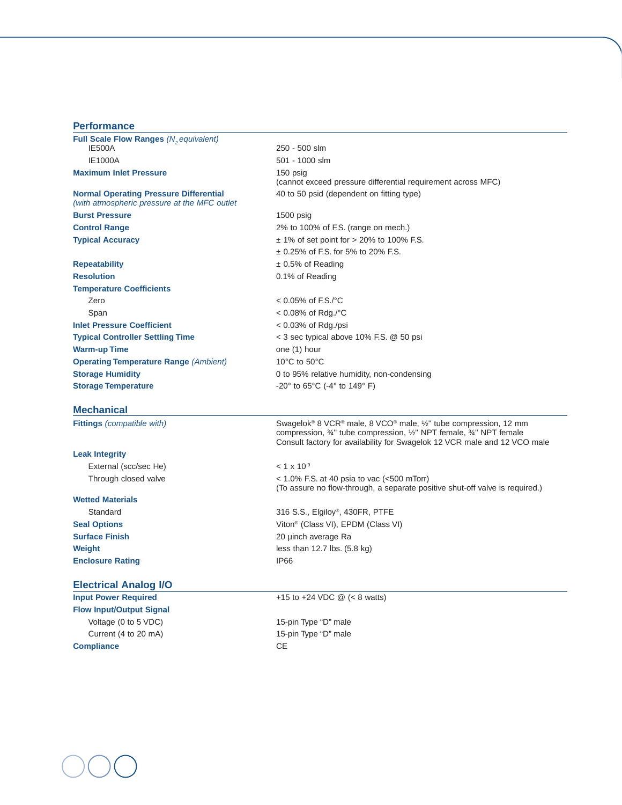| <b>Performance</b>                                                                            |                                                                                                                                                                                                                                                        |  |  |
|-----------------------------------------------------------------------------------------------|--------------------------------------------------------------------------------------------------------------------------------------------------------------------------------------------------------------------------------------------------------|--|--|
| Full Scale Flow Ranges (N <sub>2</sub> equivalent)                                            |                                                                                                                                                                                                                                                        |  |  |
| <b>IE500A</b>                                                                                 | 250 - 500 slm                                                                                                                                                                                                                                          |  |  |
| <b>IE1000A</b>                                                                                | 501 - 1000 slm                                                                                                                                                                                                                                         |  |  |
| <b>Maximum Inlet Pressure</b>                                                                 | 150 psig                                                                                                                                                                                                                                               |  |  |
|                                                                                               | (cannot exceed pressure differential requirement across MFC)                                                                                                                                                                                           |  |  |
| <b>Normal Operating Pressure Differential</b><br>(with atmospheric pressure at the MFC outlet | 40 to 50 psid (dependent on fitting type)                                                                                                                                                                                                              |  |  |
| <b>Burst Pressure</b>                                                                         | $1500$ psig                                                                                                                                                                                                                                            |  |  |
| <b>Control Range</b>                                                                          | 2% to 100% of F.S. (range on mech.)                                                                                                                                                                                                                    |  |  |
| <b>Typical Accuracy</b>                                                                       | $\pm$ 1% of set point for > 20% to 100% F.S.                                                                                                                                                                                                           |  |  |
|                                                                                               | $\pm$ 0.25% of F.S. for 5% to 20% F.S.                                                                                                                                                                                                                 |  |  |
| Repeatability                                                                                 | $\pm$ 0.5% of Reading                                                                                                                                                                                                                                  |  |  |
| <b>Resolution</b>                                                                             | 0.1% of Reading                                                                                                                                                                                                                                        |  |  |
| <b>Temperature Coefficients</b>                                                               |                                                                                                                                                                                                                                                        |  |  |
| Zero                                                                                          | $< 0.05\%$ of F.S./°C                                                                                                                                                                                                                                  |  |  |
| Span                                                                                          | $< 0.08\%$ of Rdg./°C                                                                                                                                                                                                                                  |  |  |
| <b>Inlet Pressure Coefficient</b>                                                             | $< 0.03\%$ of Rdg./psi                                                                                                                                                                                                                                 |  |  |
| <b>Typical Controller Settling Time</b>                                                       | $<$ 3 sec typical above 10% F.S. $\omega$ 50 psi                                                                                                                                                                                                       |  |  |
| <b>Warm-up Time</b>                                                                           | one (1) hour                                                                                                                                                                                                                                           |  |  |
| <b>Operating Temperature Range (Ambient)</b>                                                  | 10 $\rm{^{\circ}C}$ to 50 $\rm{^{\circ}C}$                                                                                                                                                                                                             |  |  |
| <b>Storage Humidity</b>                                                                       | 0 to 95% relative humidity, non-condensing                                                                                                                                                                                                             |  |  |
| <b>Storage Temperature</b>                                                                    | $-20^{\circ}$ to 65 $^{\circ}$ C ( $-4^{\circ}$ to 149 $^{\circ}$ F)                                                                                                                                                                                   |  |  |
| <b>Mechanical</b>                                                                             |                                                                                                                                                                                                                                                        |  |  |
| <b>Fittings</b> (compatible with)                                                             | Swagelok® 8 VCR® male, 8 VCO® male, 1/2" tube compression, 12 mm<br>compression, $\frac{3}{4}$ " tube compression, $\frac{1}{2}$ " NPT female, $\frac{3}{4}$ " NPT female<br>Consult factory for availability for Swagelok 12 VCR male and 12 VCO male |  |  |
| <b>Leak Integrity</b>                                                                         |                                                                                                                                                                                                                                                        |  |  |
| External (scc/sec He)                                                                         | $< 1 \times 10^{-9}$                                                                                                                                                                                                                                   |  |  |
| Through closed valve                                                                          | $<$ 1.0% F.S. at 40 psia to vac ( $<$ 500 mTorr)<br>(To assure no flow-through, a separate positive shut-off valve is required.)                                                                                                                       |  |  |
| <b>Wetted Materials</b>                                                                       |                                                                                                                                                                                                                                                        |  |  |
| Standard                                                                                      | 316 S.S., Elgiloy®, 430FR, PTFE                                                                                                                                                                                                                        |  |  |
| <b>Seal Options</b>                                                                           | Viton <sup>®</sup> (Class VI), EPDM (Class VI)                                                                                                                                                                                                         |  |  |
| <b>Surface Finish</b>                                                                         | 20 µinch average Ra                                                                                                                                                                                                                                    |  |  |
| Weight                                                                                        | less than $12.7$ lbs. $(5.8 \text{ kg})$                                                                                                                                                                                                               |  |  |
| <b>Enclosure Rating</b>                                                                       | <b>IP66</b>                                                                                                                                                                                                                                            |  |  |
| <b>Electrical Analog I/O</b>                                                                  |                                                                                                                                                                                                                                                        |  |  |
| <b>Input Power Required</b>                                                                   | +15 to +24 VDC $\omega$ (< 8 watts)                                                                                                                                                                                                                    |  |  |
| <b>Flow Input/Output Signal</b>                                                               |                                                                                                                                                                                                                                                        |  |  |
| Voltage (0 to 5 VDC)                                                                          | 15-pin Type "D" male                                                                                                                                                                                                                                   |  |  |
| Current (4 to 20 mA)                                                                          | 15-pin Type "D" male                                                                                                                                                                                                                                   |  |  |

**Compliance** CE

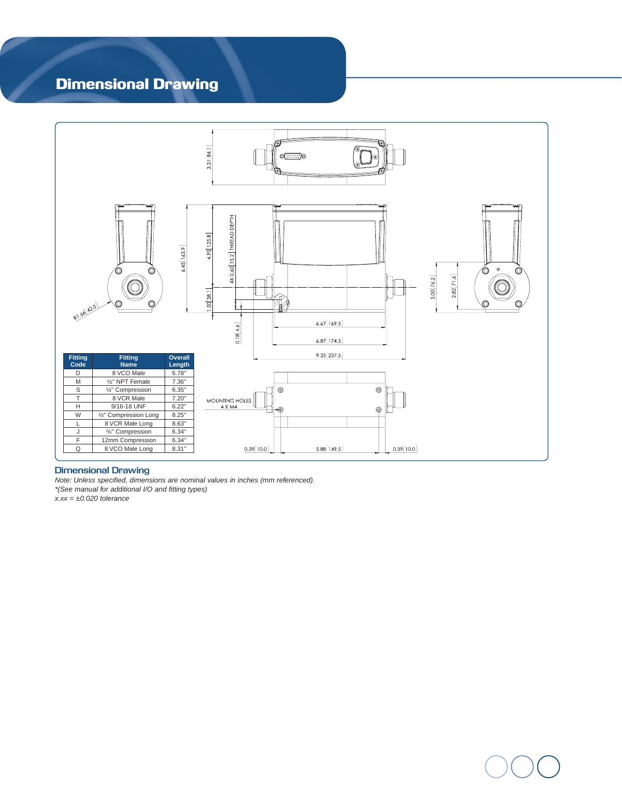# Dimensional Drawing



### **Dimensional Drawing**

*Note: Unless specified, dimensions are nominal values in inches (mm referenced). \*(See manual for additional I/O and fitting types)*   $\vec{x}$ .xx =  $\pm 0.020$  tolerance